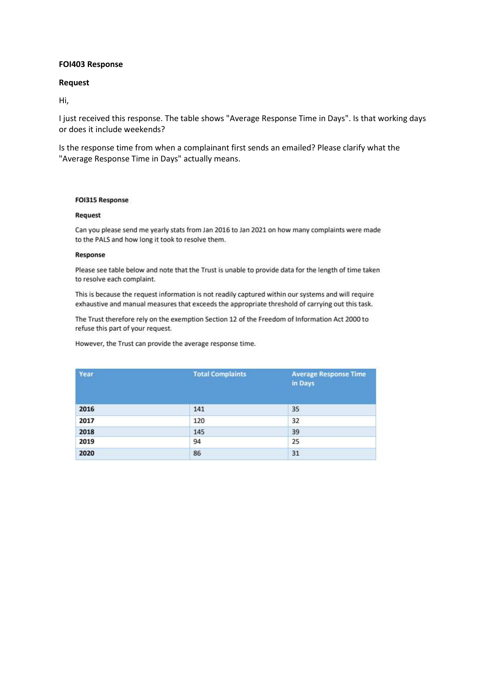## **FOI403 Response**

## **Request**

Hi,

I just received this response. The table shows "Average Response Time in Days". Is that working days or does it include weekends?

Is the response time from when a complainant first sends an emailed? Please clarify what the "Average Response Time in Days" actually means.

#### **FOI315 Response**

#### Request

Can you please send me yearly stats from Jan 2016 to Jan 2021 on how many complaints were made to the PALS and how long it took to resolve them.

## Response

Please see table below and note that the Trust is unable to provide data for the length of time taken to resolve each complaint.

This is because the request information is not readily captured within our systems and will require exhaustive and manual measures that exceeds the appropriate threshold of carrying out this task.

The Trust therefore rely on the exemption Section 12 of the Freedom of Information Act 2000 to refuse this part of your request.

However, the Trust can provide the average response time.

| Year | <b>Total Complaints</b> | <b>Average Response Time</b><br>in Days |
|------|-------------------------|-----------------------------------------|
| 2016 | 141                     | 35                                      |
| 2017 | 120                     | 32                                      |
| 2018 | 145                     | 39                                      |
| 2019 | 94                      | 25                                      |
| 2020 | 86                      | 31                                      |